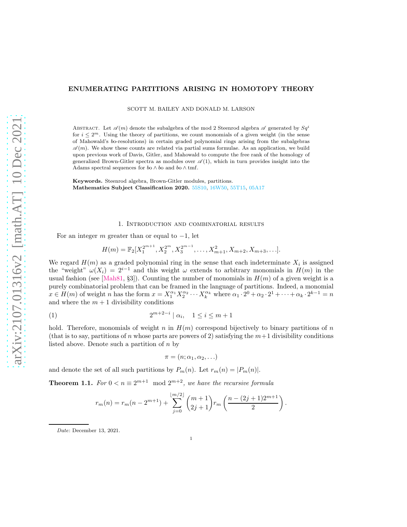# arXiv:2107.01316v2 [math.AT] 10 Dec 2021 [arXiv:2107.01316v2 \[math.AT\] 10 Dec 2021](http://arxiv.org/abs/2107.01316v2)

# ENUMERATING PARTITIONS ARISING IN HOMOTOPY THEORY

SCOTT M. BAILEY AND DONALD M. LARSON

ABSTRACT. Let  $\mathscr{A}(m)$  denote the subalgebra of the mod 2 Steenrod algebra  $\mathscr{A}$  generated by  $Sq^i$ for  $i \leq 2^m$ . Using the theory of partitions, we count monomials of a given weight (in the sense of Mahowald's bo-resolutions) in certain graded polynomial rings arising from the subalgebras  $\mathscr{A}(m)$ . We show these counts are related via partial sums formulae. As an application, we build upon previous work of Davis, Gitler, and Mahowald to compute the free rank of the homology of generalized Brown-Gitler spectra as modules over  $\mathscr{A}(1)$ , which in turn provides insight into the Adams spectral sequences for  $b$ o  $\wedge$   $b$ o and  $b$ o  $\wedge$  tmf.

Keywords. Steenrod algebra, Brown-Gitler modules, partitions. Mathematics Subject Classification 2020. [55S10,]( https://mathscinet.ams.org/mathscinet/msc/msc2020.html?t=55Sxx&btn=Current) [16W50,]( https://mathscinet.ams.org/mathscinet/msc/msc2020.html?t=16Wxx&btn=Current) [55T15,]( https://mathscinet.ams.org/mathscinet/msc/msc2020.html?t=55Txx&btn=Current) [05A17]( https://mathscinet.ams.org/mathscinet/msc/msc2020.html?t=05Axx&btn=Current)

## 1. Introduction and combinatorial results

<span id="page-0-1"></span>For an integer m greater than or equal to  $-1$ , let

$$
H(m) = \mathbb{F}_2[X_1^{2^{m+1}}, X_2^{2^m}, X_3^{2^{m-1}}, \dots, X_{m+1}^2, X_{m+2}, X_{m+3}, \dots].
$$

We regard  $H(m)$  as a graded polynomial ring in the sense that each indeterminate  $X_i$  is assigned the "weight"  $\omega(X_i) = 2^{i-1}$  and this weight  $\omega$  extends to arbitrary monomials in  $H(m)$  in the usual fashion (see [\[Mah81,](#page-13-0) §3]). Counting the number of monomials in  $H(m)$  of a given weight is a purely combinatorial problem that can be framed in the language of partitions. Indeed, a monomial  $x \in H(m)$  of weight n has the form  $x = X_1^{\alpha_1} X_2^{\alpha_2} \cdots X_k^{\alpha_k}$  where  $\alpha_1 \cdot 2^0 + \alpha_2 \cdot 2^1 + \cdots + \alpha_k \cdot 2^{k-1} = n$ and where the  $m + 1$  divisibility conditions

$$
(1) \t2^{m+2-i} | \alpha_i, \quad 1 \le i \le m+1
$$

hold. Therefore, monomials of weight n in  $H(m)$  correspond bijectively to binary partitions of n (that is to say, partitions of n whose parts are powers of 2) satisfying the  $m+1$  divisibility conditions listed above. Denote such a partition of  $n$  by

<span id="page-0-2"></span>
$$
\pi=(n;\alpha_1,\alpha_2,\ldots)
$$

and denote the set of all such partitions by  $P_m(n)$ . Let  $r_m(n) = |P_m(n)|$ .

<span id="page-0-0"></span>**Theorem 1.1.** For  $0 < n \equiv 2^{m+1} \mod 2^{m+2}$ , we have the recursive formula

$$
r_m(n) = r_m(n - 2^{m+1}) + \sum_{j=0}^{\lfloor m/2 \rfloor} \binom{m+1}{2j+1} r_m \left( \frac{n - (2j+1)2^{m+1}}{2} \right).
$$

Date: December 13, 2021.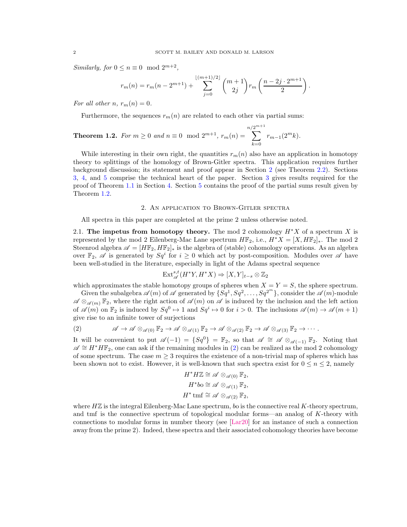Similarly, for  $0 \le n \equiv 0 \mod 2^{m+2}$ ,

$$
r_m(n) = r_m(n - 2^{m+1}) + \sum_{j=0}^{\lfloor (m+1)/2 \rfloor} {m+1 \choose 2j} r_m \left( \frac{n-2j \cdot 2^{m+1}}{2} \right).
$$

For all other n,  $r_m(n) = 0$ .

Furthermore, the sequences  $r_m(n)$  are related to each other via partial sums:

<span id="page-1-1"></span>**Theorem 1.2.** For 
$$
m \ge 0
$$
 and  $n \equiv 0 \mod 2^{m+1}$ ,  $r_m(n) = \sum_{k=0}^{n/2^{m+1}} r_{m-1}(2^m k)$ .

While interesting in their own right, the quantities  $r_m(n)$  also have an application in homotopy theory to splittings of the homology of Brown-Gitler spectra. This application requires further background discussion; its statement and proof appear in Section [2](#page-1-0) (see Theorem [2.2\)](#page-5-0). Sections [3,](#page-7-0) [4,](#page-8-0) and [5](#page-10-0) comprise the technical heart of the paper. Section [3](#page-7-0) gives results required for the proof of Theorem [1.1](#page-0-0) in Section [4.](#page-8-0) Section [5](#page-10-0) contains the proof of the partial sums result given by Theorem [1.2.](#page-1-1)

# 2. An application to Brown-Gitler spectra

<span id="page-1-0"></span>All spectra in this paper are completed at the prime 2 unless otherwise noted.

<span id="page-1-3"></span>2.1. The impetus from homotopy theory. The mod 2 cohomology  $H^*X$  of a spectrum X is represented by the mod 2 Eilenberg-Mac Lane spectrum  $H\mathbb{F}_2$ , i.e.,  $H^*X = [X, H\mathbb{F}_2]_*$ . The mod 2 Steenrod algebra  $\mathscr{A} = [H\mathbb{F}_2, H\mathbb{F}_2]_*$  is the algebra of (stable) cohomology operations. As an algebra over  $\mathbb{F}_2$ ,  $\mathscr A$  is generated by  $Sq^i$  for  $i \geq 0$  which act by post-composition. Modules over  $\mathscr A$  have been well-studied in the literature, especially in light of the Adams spectral sequence

$$
\text{Ext}^{s,t}_{\mathscr{A}}(H^*Y, H^*X) \Rightarrow [X,Y]_{t-s} \otimes \mathbb{Z}_2
$$

which approximates the stable homotopy groups of spheres when  $X = Y = S$ , the sphere spectrum.

Given the subalgebra  $\mathscr{A}(m)$  of  $\mathscr{A}$  generated by  $\{Sq^1, Sq^2, \ldots, Sq^{2^m}\}\$ , consider the  $\mathscr{A}(m)$ -module  $\mathscr{A} \otimes_{\mathscr{A}(m)} \mathbb{F}_2$ , where the right action of  $\mathscr{A}(m)$  on  $\mathscr{A}$  is induced by the inclusion and the left action of  $\mathscr{A}(m)$  on  $\mathbb{F}_2$  is induced by  $Sq^0 \mapsto 1$  and  $Sq^i \mapsto 0$  for  $i > 0$ . The inclusions  $\mathscr{A}(m) \to \mathscr{A}(m+1)$ give rise to an infinite tower of surjections

<span id="page-1-2"></span>(2) 
$$
\mathscr{A} \to \mathscr{A} \otimes_{\mathscr{A}(0)} \mathbb{F}_2 \to \mathscr{A} \otimes_{\mathscr{A}(1)} \mathbb{F}_2 \to \mathscr{A} \otimes_{\mathscr{A}(2)} \mathbb{F}_2 \to \mathscr{A} \otimes_{\mathscr{A}(3)} \mathbb{F}_2 \to \cdots
$$

It will be convenient to put  $\mathscr{A}(-1) = \{Sq^{0}\} = \mathbb{F}_{2}$ , so that  $\mathscr{A} \cong \mathscr{A} \otimes_{\mathscr{A}(-1)} \mathbb{F}_{2}$ . Noting that  $\mathscr{A} \cong H^*H\mathbb{F}_2$ , one can ask if the remaining modules in [\(2\)](#page-1-2) can be realized as the mod 2 cohomology of some spectrum. The case  $m \geq 3$  requires the existence of a non-trivial map of spheres which has been shown not to exist. However, it is well-known that such spectra exist for  $0 \le n \le 2$ , namely

$$
H^* H \mathbb{Z} \cong \mathscr{A} \otimes_{\mathscr{A}(0)} \mathbb{F}_2,
$$
  
\n
$$
H^* b \circ \cong \mathscr{A} \otimes_{\mathscr{A}(1)} \mathbb{F}_2,
$$
  
\n
$$
H^* \text{tmf} \cong \mathscr{A} \otimes_{\mathscr{A}(2)} \mathbb{F}_2,
$$

where  $H\mathbb{Z}$  is the integral Eilenberg-Mac Lane spectrum, bo is the connective real K-theory spectrum, and tmf is the connective spectrum of topological modular forms—an analog of K-theory with connections to modular forms in number theory (see [\[Lar20\]](#page-13-1) for an instance of such a connection away from the prime 2). Indeed, these spectra and their associated cohomology theories have become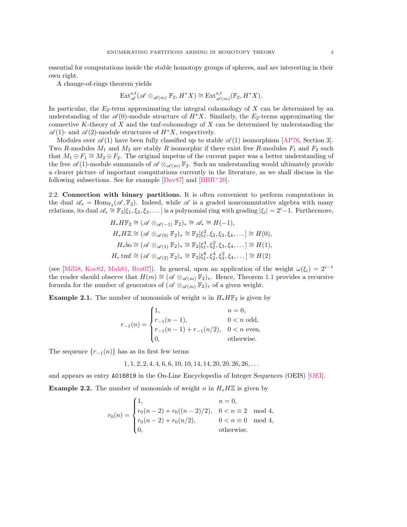essential for computations inside the stable homotopy groups of spheres, and are interesting in their own right.

A change-of-rings theorem yields

$$
\text{Ext}_{\mathscr{A}}^{s,t}(\mathscr{A}\otimes_{\mathscr{A}(m)}\mathbb{F}_2,H^*X)\cong \text{Ext}_{\mathscr{A}(m)}^{s,t}(\mathbb{F}_2,H^*X).
$$

In particular, the  $E_2$ -term approximating the integral cohomology of X can be determined by an understanding of the  $\mathscr{A}(0)$ -module structure of  $H^*X$ . Similarly, the  $E_2$ -terms approximating the connective K-theory of  $X$  and the tmf-cohomology of  $X$  can be determined by understanding the  $\mathscr{A}(1)$ - and  $\mathscr{A}(2)$ -module structures of  $H^*X$ , respectively.

Modules over  $\mathscr{A}(1)$  have been fully classified up to stable  $\mathscr{A}(1)$  isomorphism [\[AP76,](#page-12-0) Section 3]. Two R-modules  $M_1$  and  $M_2$  are stably R isomorphic if there exist free R-modules  $F_1$  and  $F_2$  such that  $M_1 \oplus F_1 \cong M_2 \oplus F_2$ . The original impetus of the current paper was a better understanding of the free  $\mathscr{A}(1)$ -module summands of  $\mathscr{A} \otimes_{\mathscr{A}(m)} \mathbb{F}_2$ . Such an understanding would ultimately provide a clearer picture of important computations currently in the literature, as we shall discuss in the following subsections. See for example  $[DaV87]$  and  $[BBB<sup>+</sup>20]$ .

2.2. Connection with binary partitions. It is often convenient to perform computations in the dual  $\mathscr{A}_{*} = \text{Hom}_{\mathbb{F}_{2}}(\mathscr{A}, \mathbb{F}_{2})$ . Indeed, while  $\mathscr{A}$  is a graded noncommutative algebra with many relations, its dual  $\mathscr{A}_* \cong \mathbb{F}_2[\xi_1,\xi_2,\xi_3,\dots]$  is a polynomial ring with grading  $|\xi_i|=2^i-1$ . Furthermore,

$$
H_*H\mathbb{F}_2 \cong (\mathscr{A} \otimes_{\mathscr{A}(-1)} \mathbb{F}_2)_* \cong \mathscr{A}_* \cong H(-1),
$$
  
\n
$$
H_*H\mathbb{Z} \cong (\mathscr{A} \otimes_{\mathscr{A}(0)} \mathbb{F}_2)_* \cong \mathbb{F}_2[\xi_1^2, \xi_2, \xi_3, \xi_4, \dots] \cong H(0),
$$
  
\n
$$
H_*b\omega \cong (\mathscr{A} \otimes_{\mathscr{A}(1)} \mathbb{F}_2)_* \cong \mathbb{F}_2[\xi_1^4, \xi_2^2, \xi_3, \xi_4, \dots] \cong H(1),
$$
  
\n
$$
H_* \text{tmf} \cong (\mathscr{A} \otimes_{\mathscr{A}(2)} \mathbb{F}_2)_* \cong \mathbb{F}_2[\xi_1^8, \xi_2^4, \xi_3^2, \xi_4, \dots] \cong H(2)
$$

(see [\[Mil58,](#page-13-3) [Koc82,](#page-13-4) [Mah81,](#page-13-0) [Rez07\]](#page-13-5)). In general, upon an application of the weight  $\omega(\xi_i) = 2^{i-1}$ the reader should observe that  $H(m) \cong (\mathscr{A} \otimes_{\mathscr{A}(m)} \mathbb{F}_2)_*$ . Hence, Theorem [1.1](#page-0-0) provides a recursive formula for the number of generators of  $(\mathscr{A} \otimes_{\mathscr{A}(m)} \mathbb{F}_2)_*$  of a given weight.

**Example 2.1.** The number of monomials of weight n in  $H_* H\mathbb{F}_2$  is given by

$$
r_{-1}(n) = \begin{cases} 1, & n = 0, \\ r_{-1}(n-1), & 0 < n \text{ odd,} \\ r_{-1}(n-1) + r_{-1}(n/2), & 0 < n \text{ even,} \\ 0, & \text{otherwise.} \end{cases}
$$

The sequence  $\{r_{-1}(n)\}\$  has as its first few terms

$$
1, 1, 2, 2, 4, 4, 6, 6, 10, 10, 14, 14, 20, 20, 26, 26, \ldots
$$

and appears as entry A018819 in the On-Line Encyclopedia of Integer Sequences (OEIS) [\[OEI\]](#page-13-6).

**Example 2.2.** The number of monomials of weight n in  $H_* H\mathbb{Z}$  is given by

$$
r_0(n) = \begin{cases} 1, & n = 0, \\ r_0(n-2) + r_0((n-2)/2), & 0 < n \equiv 2 \mod 4, \\ r_0(n-2) + r_0(n/2), & 0 < n \equiv 0 \mod 4, \\ 0, & \text{otherwise.} \end{cases}
$$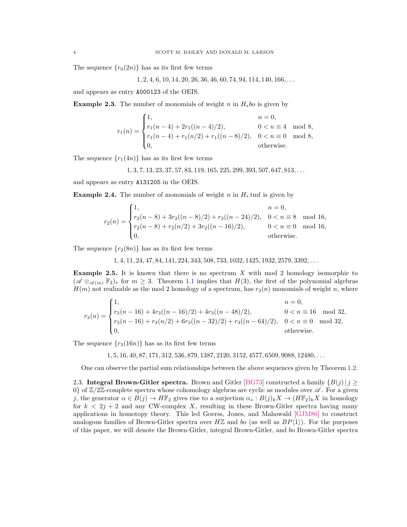The sequence  $\{r_0(2n)\}\$  has as its first few terms

$$
1, 2, 4, 6, 10, 14, 20, 26, 36, 46, 60, 74, 94, 114, 140, 166, \ldots
$$

and appears as entry A000123 of the OEIS.

**Example 2.3.** The number of monomials of weight n in  $H_*b$  is given by

$$
r_1(n) = \begin{cases} 1, & n = 0, \\ r_1(n-4) + 2r_1((n-4)/2), & 0 < n \equiv 4 \mod 8, \\ r_1(n-4) + r_1(n/2) + r_1((n-8)/2), & 0 < n \equiv 0 \mod 8, \\ 0, & \text{otherwise.} \end{cases}
$$

The sequence  $\{r_1(4n)\}\$  has as its first few terms

 $1, 3, 7, 13, 23, 37, 57, 83, 119, 165, 225, 299, 393, 507, 647, 813, \ldots$ 

and appears as entry A131205 in the OEIS.

**Example 2.4.** The number of monomials of weight n in  $H_*$  tmf is given by

$$
r_2(n) = \begin{cases} 1, & n = 0, \\ r_2(n-8) + 3r_2((n-8)/2) + r_2((n-24)/2), & 0 < n \equiv 8 \mod 16, \\ r_2(n-8) + r_2(n/2) + 3r_2((n-16)/2), & 0 < n \equiv 0 \mod 16, \\ 0, & \text{otherwise.} \end{cases}
$$

The sequence  $\{r_2(8n)\}\$  has as its first few terms

1, 4, 11, 24, 47, 84, 141, 224, 343, 508, 733, 1032, 1425, 1932, 2579, 3392, . . .

**Example 2.5.** It is known that there is no spectrum  $X$  with mod 2 homology isomorphic to  $(\mathscr{A} \otimes_{\mathscr{A}(m)} \mathbb{F}_2)_*$  for  $m \geq 3$ . Theorem [1.1](#page-0-0) implies that  $H(3)$ , the first of the polynomial algebras  $H(m)$  not realizable as the mod 2 homology of a spectrum, has  $r_3(n)$  monomials of weight n, where

$$
r_3(n) = \begin{cases} 1, & n = 0, \\ r_3(n-16) + 4r_3((n-16)/2) + 4r_3((n-48)/2), & 0 < n \equiv 16 \mod 32, \\ r_3(n-16) + r_3(n/2) + 6r_3((n-32)/2) + r_3((n-64)/2), & 0 < n \equiv 0 \mod 32, \\ 0, & \text{otherwise.} \end{cases}
$$

The sequence  $\{r_3(16n)\}\$  has as its first few terms

 $1, 5, 16, 40, 87, 171, 312, 536, 879, 1387, 2120, 3152, 4577, 6509, 9088, 12480, \ldots$ 

One can observe the partial sum relationships between the above sequences given by Theorem [1.2.](#page-1-1)

2.3. Integral Brown-Gitler spectra. Brown and Gitler [\[BG73\]](#page-13-7) constructed a family  $\{B(j) | j \geq 1\}$ 0} of  $\mathbb{Z}/2\mathbb{Z}$ -complete spectra whose cohomology algebras are cyclic as modules over  $\mathscr{A}$ . For a given j, the generator  $\alpha \in B(j) \to H\mathbb{F}_2$  gives rise to a surjection  $\alpha_* : B(j)_k X \to (H\mathbb{F}_2)_k X$  in homology for  $k < 2j + 2$  and any CW-complex X, resulting in these Brown-Gitler spectra having many applications in homotopy theory. This led Goerss, Jones, and Mahowald [\[GJM86\]](#page-13-8) to construct analogous families of Brown-Gitler spectra over  $H\mathbb{Z}$  and bo (as well as  $BP\langle 1 \rangle$ ). For the purposes of this paper, we will denote the Brown-Gitler, integral Brown-Gitler, and bo Brown-Gitler spectra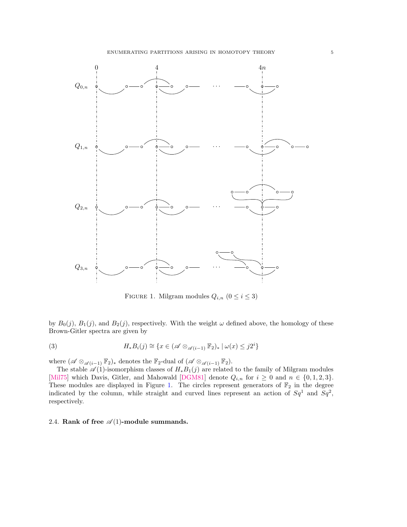

<span id="page-4-1"></span><span id="page-4-0"></span>FIGURE 1. Milgram modules  $Q_{i,n}$   $(0 \leq i \leq 3)$ 

by  $B_0(j)$ ,  $B_1(j)$ , and  $B_2(j)$ , respectively. With the weight  $\omega$  defined above, the homology of these Brown-Gitler spectra are given by

(3) 
$$
H_*B_i(j) \cong \{x \in (\mathscr{A} \otimes_{\mathscr{A}(i-1)} \mathbb{F}_2)_* \mid \omega(x) \leq j2^i\}
$$

where  $(\mathscr{A} \otimes_{\mathscr{A}(i-1)} \mathbb{F}_2)_{*}$  denotes the  $\mathbb{F}_2$ -dual of  $(\mathscr{A} \otimes_{\mathscr{A}(i-1)} \mathbb{F}_2)$ .

The stable  $\mathscr{A}(1)$ -isomorphism classes of  $H_*B_1(j)$  are related to the family of Milgram modules [\[Mil75\]](#page-13-9) which Davis, Gitler, and Mahowald [\[DGM81\]](#page-13-10) denote  $Q_{i,n}$  for  $i \geq 0$  and  $n \in \{0,1,2,3\}$ . These modules are displayed in Figure [1.](#page-4-0) The circles represent generators of  $\mathbb{F}_2$  in the degree indicated by the column, while straight and curved lines represent an action of  $Sq^1$  and  $Sq^2$ , respectively.

# 2.4. Rank of free  $\mathcal{A}(1)$ -module summands.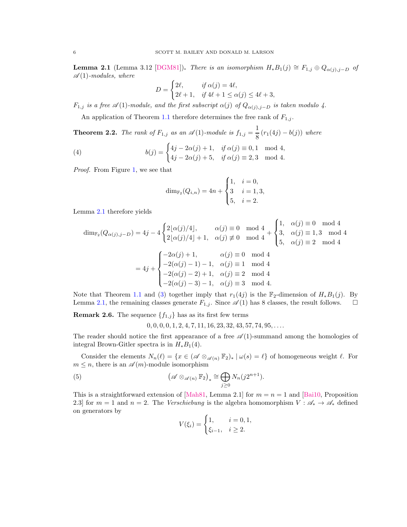<span id="page-5-1"></span>**Lemma 2.1** (Lemma 3.12 [\[DGM81\]](#page-13-10)). There is an isomorphism  $H_*B_1(j) \cong F_{1,j} \oplus Q_{\alpha(j),j-D}$  of  $\mathscr{A}(1)$ -modules, where

$$
D = \begin{cases} 2\ell, & \text{if } \alpha(j) = 4\ell, \\ 2\ell + 1, & \text{if } 4\ell + 1 \le \alpha(j) \le 4\ell + 3, \end{cases}
$$

 $F_{1,j}$  is a free  $\mathscr{A}(1)$ -module, and the first subscript  $\alpha(j)$  of  $Q_{\alpha(j),j-D}$  is taken modulo 4.

An application of Theorem [1.1](#page-0-0) therefore determines the free rank of  $F_{1,j}$ .

<span id="page-5-0"></span>**Theorem 2.2.** The rank of  $F_{1,j}$  as an  $\mathscr{A}(1)$ -module is  $f_{1,j} = \frac{1}{8}$  $\frac{1}{8}(r_1(4j) - b(j))$  where

(4) 
$$
b(j) = \begin{cases} 4j - 2\alpha(j) + 1, & \text{if } \alpha(j) \equiv 0, 1 \mod 4, \\ 4j - 2\alpha(j) + 5, & \text{if } \alpha(j) \equiv 2, 3 \mod 4. \end{cases}
$$

Proof. From Figure [1,](#page-4-0) we see that

$$
\dim_{\mathbb{F}_2}(Q_{i,n}) = 4n + \begin{cases} 1, & i = 0, \\ 3 & i = 1, 3, \\ 5, & i = 2. \end{cases}
$$

Lemma [2.1](#page-5-1) therefore yields

$$
\dim_{\mathbb{F}_2}(Q_{\alpha(j),j-D}) = 4j - 4\begin{cases} 2\lfloor \alpha(j)/4 \rfloor, & \alpha(j) \equiv 0 \mod 4 \\ 2\lfloor \alpha(j)/4 \rfloor + 1, & \alpha(j) \not\equiv 0 \mod 4 \end{cases} + \begin{cases} 1, & \alpha(j) \equiv 0 \mod 4 \\ 3, & \alpha(j) \equiv 1, 3 \mod 4 \\ 5, & \alpha(j) \equiv 2 \mod 4 \end{cases}
$$

$$
= 4j + \begin{cases} -2\alpha(j) + 1, & \alpha(j) \equiv 0 \mod 4 \\ -2(\alpha(j) - 1) - 1, & \alpha(j) \equiv 1 \mod 4 \\ -2(\alpha(j) - 2) + 1, & \alpha(j) \equiv 2 \mod 4 \\ -2(\alpha(j) - 3) - 1, & \alpha(j) \equiv 3 \mod 4. \end{cases}
$$

Note that Theorem [1.1](#page-0-0) and [\(3\)](#page-4-1) together imply that  $r_1(4j)$  is the  $\mathbb{F}_2$ -dimension of  $H_*B_1(j)$ . By Lemma [2.1,](#page-5-1) the remaining classes generate  $F_{1,j}$ . Since  $\mathscr{A}(1)$  has 8 classes, the result follows.  $\Box$ 

**Remark 2.6.** The sequence  $\{f_{1,j}\}\$  has as its first few terms

 $0, 0, 0, 0, 1, 2, 4, 7, 11, 16, 23, 32, 43, 57, 74, 95, \ldots$ 

The reader should notice the first appearance of a free  $\mathscr{A}(1)$ -summand among the homologies of integral Brown-Gitler spectra is in  $H_*B_1(4)$ .

Consider the elements  $N_n(\ell) = \{x \in (\mathscr{A} \otimes_{\mathscr{A}(n)} \mathbb{F}_2)_* | \omega(s) = \ell\}$  of homogeneous weight  $\ell$ . For  $m \leq n$ , there is an  $\mathscr{A}(m)$ -module isomorphism

(5) 
$$
\left(\mathscr{A}\otimes_{\mathscr{A}(n)}\mathbb{F}_2\right)_* \cong \bigoplus_{j\geq 0} N_n(j2^{n+1}).
$$

This is a straightforward extension of [\[Mah81,](#page-13-0) Lemma 2.1] for  $m = n = 1$  and [\[Bai10,](#page-12-2) Proposition] 2.3] for  $m = 1$  and  $n = 2$ . The *Verschiebung* is the algebra homomorphism  $V : \mathscr{A}_* \to \mathscr{A}_*$  defined on generators by

<span id="page-5-2"></span>
$$
V(\xi_i) = \begin{cases} 1, & i = 0, 1, \\ \xi_{i-1}, & i \ge 2. \end{cases}
$$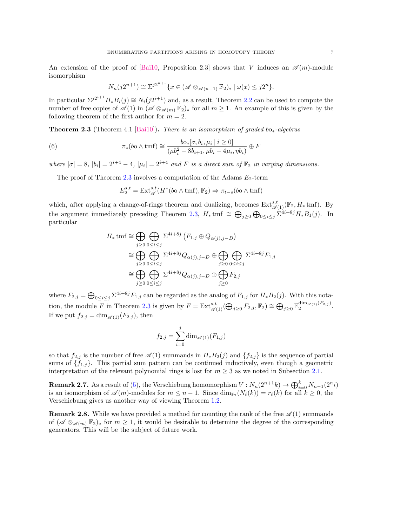An extension of the proof of [\[Bai10,](#page-12-2) Proposition 2.3] shows that V induces an  $\mathscr{A}(m)$ -module isomorphism

$$
N_n(j2^{n+1}) \cong \Sigma^{j2^{n+1}} \{x \in (\mathscr{A} \otimes_{\mathscr{A}(n-1)} \mathbb{F}_2)_* \mid \omega(x) \leq j2^n\}.
$$

In particular  $\Sigma^{j2^{i+1}}H_*B_i(j) \cong N_i(j2^{i+1})$  and, as a result, Theorem [2.2](#page-5-0) can be used to compute the number of free copies of  $\mathscr{A}(1)$  in  $(\mathscr{A} \otimes_{\mathscr{A}(m)} \mathbb{F}_2)_*$  for all  $m \geq 1$ . An example of this is given by the following theorem of the first author for  $m = 2$ .

<span id="page-6-0"></span>**Theorem 2.3** (Theorem 4.1 [\[Bai10\]](#page-12-2)). There is an isomorphism of graded bo<sub>\*</sub>-algebras

(6) 
$$
\pi_*(b \circ \wedge \text{tmf}) \cong \frac{b \circ_{*} [\sigma, b_i, \mu_i \mid i \geq 0]}{(\mu b_i^2 - 8b_{i+1}, \mu b_i - 4\mu_i, \eta b_i)} \oplus F
$$

where  $|\sigma| = 8$ ,  $|b_i| = 2^{i+4} - 4$ ,  $|\mu_i| = 2^{i+4}$  and F is a direct sum of  $\mathbb{F}_2$  in varying dimensions.

The proof of Theorem [2.3](#page-6-0) involves a computation of the Adams  $E_2$ -term

$$
E_2^{s,t} = \mathrm{Ext}^{s,t}_{\mathscr{A}}(H^*(bo \wedge \mathrm{tmf}), \mathbb{F}_2) \Rightarrow \pi_{t-s}(bo \wedge \mathrm{tmf})
$$

which, after applying a change-of-rings theorem and dualizing, becomes  $\text{Ext}^{s,t}_{\mathscr{A}(1)}(\mathbb{F}_2, H_\ast \text{tmf})$ . By the argument immediately preceding Theorem [2.3,](#page-6-0)  $H_*$  tmf  $\cong \bigoplus_{j\geq 0} \bigoplus_{0\leq i\leq j} \sum_{i=1}^{j} H_* B_1(j)$ . In particular

$$
H_* \text{tmf} \cong \bigoplus_{j\geq 0} \bigoplus_{0\leq i\leq j} \Sigma^{4i+8j} (F_{1,j} \oplus Q_{\alpha(j),j-D})
$$
  
\n
$$
\cong \bigoplus_{j\geq 0} \bigoplus_{0\leq i\leq j} \Sigma^{4i+8j} Q_{\alpha(j),j-D} \oplus \bigoplus_{j\geq 0} \bigoplus_{0\leq i\leq j} \Sigma^{4i+8j} F_{1,j}
$$
  
\n
$$
\cong \bigoplus_{j\geq 0} \bigoplus_{0\leq i\leq j} \Sigma^{4i+8j} Q_{\alpha(j),j-D} \oplus \bigoplus_{j\geq 0} F_{2,j}
$$

where  $F_{2,j} = \bigoplus_{0 \le i \le j} \sum_{i}^{4i+8j} F_{1,j}$  can be regarded as the analog of  $F_{1,j}$  for  $H_*B_2(j)$ . With this nota-tion, the module F in Theorem [2.3](#page-6-0) is given by  $F = \text{Ext}^{s,t}_{\mathscr{A}(1)}(\bigoplus_{j\geq 0} F_{2,j}, \mathbb{F}_2) \cong \bigoplus_{j\geq 0} \mathbb{F}_2^{\dim_{\mathscr{A}(1)}(F_{2,j})}$ . If we put  $f_{2,j} = \dim_{\mathscr{A}(1)}(F_{2,j}),$  then

$$
f_{2,j} = \sum_{i=0}^{j} \dim_{\mathscr{A}(1)}(F_{1,j})
$$

so that  $f_{2,j}$  is the number of free  $\mathscr{A}(1)$  summands in  $H_*B_2(j)$  and  $\{f_{2,j}\}$  is the sequence of partial sums of  $\{f_{1,j}\}$ . This partial sum pattern can be continued inductively, even though a geometric interpretation of the relevant polynomial rings is lost for  $m \geq 3$  as we noted in Subsection [2.1.](#page-1-3)

**Remark 2.7.** As a result of [\(5\)](#page-5-2), the Verschiebung homomorphism  $V: N_n(2^{n+1}k) \to \bigoplus_{i=0}^k N_{n-1}(2^n i)$ is an isomorphism of  $\mathscr{A}(m)$ -modules for  $m \leq n-1$ . Since  $\dim_{\mathbb{F}_2}(N_\ell(k)) = r_\ell(k)$  for all  $k \geq 0$ , the Verschiebung gives us another way of viewing Theorem [1.2.](#page-1-1)

**Remark 2.8.** While we have provided a method for counting the rank of the free  $\mathscr{A}(1)$  summands of  $(\mathscr{A} \otimes_{\mathscr{A}(m)} \mathbb{F}_2)_*$  for  $m \geq 1$ , it would be desirable to determine the degree of the corresponding generators. This will be the subject of future work.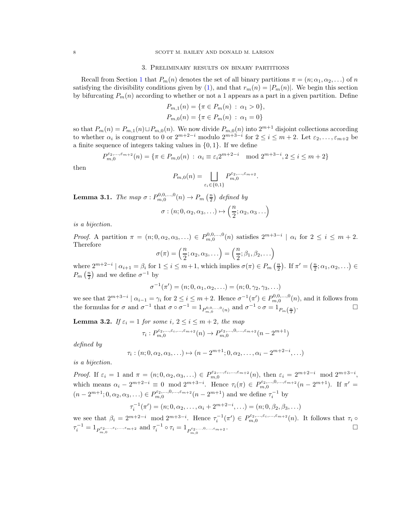# 3. Preliminary results on binary partitions

<span id="page-7-0"></span>Recall from Section [1](#page-0-1) that  $P_m(n)$  denotes the set of all binary partitions  $\pi = (n; \alpha_1, \alpha_2, \ldots)$  of n satisfying the divisibility conditions given by [\(1\)](#page-0-2), and that  $r_m(n) = |P_m(n)|$ . We begin this section by bifurcating  $P_m(n)$  according to whether or not a 1 appears as a part in a given partition. Define

$$
P_{m,1}(n) = \{ \pi \in P_m(n) : \alpha_1 > 0 \},
$$
  

$$
P_{m,0}(n) = \{ \pi \in P_m(n) : \alpha_1 = 0 \}
$$

so that  $P_m(n) = P_{m,1}(n) \sqcup P_{m,0}(n)$ . We now divide  $P_{m,0}(n)$  into  $2^{m+1}$  disjoint collections according to whether  $\alpha_i$  is congruent to 0 or  $2^{m+2-i}$  modulo  $2^{m+3-i}$  for  $2 \le i \le m+2$ . Let  $\varepsilon_2, \ldots, \varepsilon_{m+2}$  be a finite sequence of integers taking values in  $\{0, 1\}$ . If we define

$$
P_{m,0}^{\varepsilon_2,\dots,\varepsilon_{m+2}}(n) = \{ \pi \in P_{m,0}(n) : \alpha_i \equiv \varepsilon_i 2^{m+2-i} \mod 2^{m+3-i}, 2 \le i \le m+2 \}
$$

then

$$
P_{m,0}(n) = \bigsqcup_{\varepsilon_i \in \{0,1\}} P_{m,0}^{\varepsilon_2, \dots, \varepsilon_{m+2}}.
$$

<span id="page-7-2"></span>**Lemma 3.1.** The map  $\sigma: P_{m,0}^{0,0,\ldots,0}(n) \to P_m\left(\frac{n}{2}\right)$  defined by

$$
\sigma : (n; 0, \alpha_2, \alpha_3, \ldots) \mapsto \left(\frac{n}{2}; \alpha_2, \alpha_3 \ldots\right)
$$

is a bijection.

Proof. A partition  $\pi = (n; 0, \alpha_2, \alpha_3, ...) \in P^{0,0,\dots,0}_{m,0}(n)$  satisfies  $2^{m+3-i} \mid \alpha_i$  for  $2 \le i \le m+2$ . Therefore

$$
\sigma(\pi) = \left(\frac{n}{2}; \alpha_2, \alpha_3, \ldots\right) = \left(\frac{n}{2}; \beta_1, \beta_2, \ldots\right)
$$

where  $2^{m+2-i}$  |  $\alpha_{i+1} = \beta_i$  for  $1 \le i \le m+1$ , which implies  $\sigma(\pi) \in P_m\left(\frac{n}{2}\right)$ . If  $\pi' = \left(\frac{n}{2}; \alpha_1, \alpha_2, \ldots\right) \in$  $P_m\left(\frac{n}{2}\right)$  and we define  $\sigma^{-1}$  by

$$
\sigma^{-1}(\pi') = (n; 0, \alpha_1, \alpha_2, \ldots) = (n; 0, \gamma_2, \gamma_3, \ldots)
$$

we see that  $2^{m+3-i} \mid \alpha_{i-1} = \gamma_i$  for  $2 \leq i \leq m+2$ . Hence  $\sigma^{-1}(\pi') \in P_{m,0}^{0,0,\ldots,0}(n)$ , and it follows from the formulas for  $\sigma$  and  $\sigma^{-1}$  that  $\sigma \circ \sigma^{-1} = 1_{P_{m,0}^{0,0,\ldots,0}(n)}$  and  $\sigma^{-1} \circ \sigma = 1_{P_m(\frac{n}{2})}$ .

<span id="page-7-1"></span>**Lemma 3.2.** If  $\varepsilon_i = 1$  for some i,  $2 \le i \le m+2$ , the map

$$
\tau_i: P_{m,0}^{\varepsilon_2,\ldots,\varepsilon_i,\ldots,\varepsilon_{m+2}}(n) \to P_{m,0}^{\varepsilon_2,\ldots,0,\ldots,\varepsilon_{m+2}}(n-2^{m+1})
$$

defined by

$$
\tau_i : (n; 0, \alpha_2, \alpha_3, \ldots) \mapsto (n - 2^{m+1}; 0, \alpha_2, \ldots, \alpha_i - 2^{m+2-i}, \ldots)
$$

is a bijection.

Proof. If  $\varepsilon_i = 1$  and  $\pi = (n; 0, \alpha_2, \alpha_3, \ldots) \in P_{m,0}^{\varepsilon_2, \ldots, \varepsilon_i, \ldots, \varepsilon_{m+2}}(n)$ , then  $\varepsilon_i = 2^{m+2-i} \mod 2^{m+3-i}$ , which means  $\alpha_i - 2^{m+2-i} \equiv 0 \mod 2^{m+3-i}$ . Hence  $\tau_i(\pi) \in P_{m,0}^{\varepsilon_2,...,0,...,\varepsilon_{m+2}}(n-2^{m+1})$ . If  $\pi' =$  $(n-2^{m+1};0,\alpha_2,\alpha_3,\ldots) \in P_{m,0}^{\varepsilon_2,\ldots,0,\ldots,\varepsilon_{m+2}}(n-2^{m+1})$  and we define  $\tau_i^{-1}$  by

$$
\tau_i^{-1}(\pi') = (n; 0, \alpha_2, \dots, \alpha_i + 2^{m+2-i}, \dots) = (n; 0, \beta_2, \beta_3, \dots)
$$

we see that  $\beta_i = 2^{m+2-i} \mod 2^{m+3-i}$ . Hence  $\tau_i^{-1}(\pi') \in P_{m,0}^{\varepsilon_2,\ldots,\varepsilon_i,\ldots,\varepsilon_{m+2}}(n)$ . It follows that  $\tau_i \circ$  $\tau_i^{-1} = 1_{P_{m,0}^{\varepsilon_2,\dots,\varepsilon_i,\dots,\varepsilon_{m+2}}}$  and  $\tau_i^{-1} \circ \tau_i = 1_{P_{m,0}^{\varepsilon_2,\dots,0,\dots,\varepsilon_{m+2}}}$ .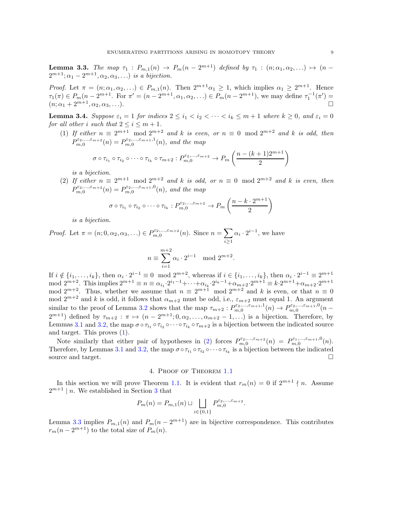<span id="page-8-3"></span>**Lemma 3.3.** The map  $\tau_1$ :  $P_{m,1}(n) \to P_m(n-2^{m+1})$  defined by  $\tau_1$ :  $(n; \alpha_1, \alpha_2, ...) \mapsto (n-1)$  $2^{m+1}; \alpha_1-2^{m+1}, \alpha_2, \alpha_3, \ldots$ ) is a bijection.

*Proof.* Let  $\pi = (n; \alpha_1, \alpha_2, ...) \in P_{m,1}(n)$ . Then  $2^{m+1}\alpha_1 \geq 1$ , which implies  $\alpha_1 \geq 2^{m+1}$ . Hence  $\tau_1(\pi) \in P_m(n-2^{m+1})$ . For  $\pi' = (n-2^{m+1}, \alpha_1, \alpha_2, ...) \in P_m(n-2^{m+1})$ , we may define  $\tau_1^{-1}(\pi') =$  $(n; \alpha_1 + 2^{m+1}, \alpha_2, \alpha_3, \ldots).$ 

<span id="page-8-4"></span><span id="page-8-1"></span>**Lemma 3.4.** Suppose  $\varepsilon_i = 1$  for indices  $2 \le i_1 < i_2 < \cdots < i_k \le m+1$  where  $k \ge 0$ , and  $\varepsilon_i = 0$ for all other i such that  $2 \le i \le m+1$ .

(1) If either  $n \equiv 2^{m+1} \mod 2^{m+2}$  and k is even, or  $n \equiv 0 \mod 2^{m+2}$  and k is odd, then  $P_{m,0}^{\varepsilon_2,\ldots,\varepsilon_{m+2}}(n) = P_{m,0}^{\varepsilon_2,\ldots,\varepsilon_{m+1},1}(n)$ , and the map

$$
\sigma \circ \tau_{i_1} \circ \tau_{i_2} \circ \cdots \circ \tau_{i_k} \circ \tau_{m+2} : P_{m,0}^{\varepsilon_2,\ldots,\varepsilon_{m+2}} \to P_m\left(\frac{n-(k+1)2^{m+1}}{2}\right)
$$

is a bijection.

<span id="page-8-2"></span>(2) If either  $n \equiv 2^{m+1} \mod 2^{m+2}$  and k is odd, or  $n \equiv 0 \mod 2^{m+2}$  and k is even, then  $P_{m,0}^{\varepsilon_2,\ldots,\varepsilon_{m+2}}(n) = P_{m,0}^{\varepsilon_2,\ldots,\varepsilon_{m+1},0}(n)$ , and the map

$$
\sigma \circ \tau_{i_1} \circ \tau_{i_2} \circ \cdots \circ \tau_{i_k} : P_{m,0}^{\varepsilon_2, \ldots, \varepsilon_{m+2}} \to P_m \left( \frac{n - k \cdot 2^{m+1}}{2} \right)
$$

is a bijection.

Proof. Let  $\pi = (n; 0, \alpha_2, \alpha_3, \ldots) \in P_{m,0}^{\varepsilon_2, \ldots, \varepsilon_{m+2}}(n)$ . Since  $n = \sum$  $i \geq 1$  $\alpha_i \cdot 2^{i-1}$ , we have

$$
n \equiv \sum_{i=1}^{m+2} \alpha_i \cdot 2^{i-1} \mod 2^{m+2}.
$$

If  $i \notin \{i_1, \ldots, i_k\}$ , then  $\alpha_i \cdot 2^{i-1} \equiv 0 \mod 2^{m+2}$ , whereas if  $i \in \{i_1, \ldots, i_k\}$ , then  $\alpha_i \cdot 2^{i-1} \equiv 2^{m+1}$ mod  $2^{m+2}$ . This implies  $2^{m+1} \equiv n \equiv \alpha_{i_1} \cdot 2^{i_1-1} + \cdots + \alpha_{i_k} \cdot 2^{i_k-1} + \alpha_{m+2} \cdot 2^{m+1} \equiv k \cdot 2^{m+1} + \alpha_{m+2} \cdot 2^{m+1}$ mod  $2^{m+2}$ . Thus, whether we assume that  $n \equiv 2^{m+1} \mod 2^{m+2}$  and k is even, or that  $n \equiv 0$ mod  $2^{m+2}$  and k is odd, it follows that  $\alpha_{m+2}$  must be odd, i.e.,  $\varepsilon_{m+2}$  must equal 1. An argument similar to the proof of Lemma [3.2](#page-7-1) shows that the map  $\tau_{m+2}: P_{m,0}^{\varepsilon_2,\dots,\varepsilon_{m+1},1}(n) \to P_{m,0}^{\varepsilon_2,\dots,\varepsilon_{m+1},0}(n-1)$  $2^{m+1}$ ) defined by  $\tau_{m+2} : \pi \mapsto (n-2^{m+1}; 0, \alpha_2, \ldots, \alpha_{m+2}-1, \ldots)$  is a bijection. Therefore, by Lemmas [3.1](#page-7-2) and [3.2,](#page-7-1) the map  $\sigma \circ \tau_{i_1} \circ \tau_{i_2} \circ \cdots \circ \tau_{i_k} \circ \tau_{m+2}$  is a bijection between the indicated source and target. This proves [\(1\)](#page-8-1).

Note similarly that either pair of hypotheses in [\(2\)](#page-8-2) forces  $P_{m,0}^{\varepsilon_2,\dots,\varepsilon_{m+2}}(n) = P_{m,0}^{\varepsilon_1,\dots,\varepsilon_{m+1},0}(n)$ . Therefore, by Lemmas [3.1](#page-7-2) and [3.2,](#page-7-1) the map  $\sigma \circ \tau_{i_1} \circ \tau_{i_2} \circ \cdots \circ \tau_{i_k}$  is a bijection between the indicated source and target.  $\Box$ 

4. Proof of Theorem [1.1](#page-0-0)

<span id="page-8-0"></span>In this section we will prove Theorem [1.1.](#page-0-0) It is evident that  $r_m(n) = 0$  if  $2^{m+1} \nmid n$ . Assume  $2^{m+1}$  | *n*. We established in Section [3](#page-7-0) that

$$
P_m(n) = P_{m,1}(n) \sqcup \bigsqcup_{i \in \{0,1\}} P_{m,0}^{\varepsilon_2, \ldots, \varepsilon_{m+2}}.
$$

Lemma [3.3](#page-8-3) implies  $P_{m,1}(n)$  and  $P_m(n-2^{m+1})$  are in bijective correspondence. This contributes  $r_m(n-2^{m+1})$  to the total size of  $P_m(n)$ .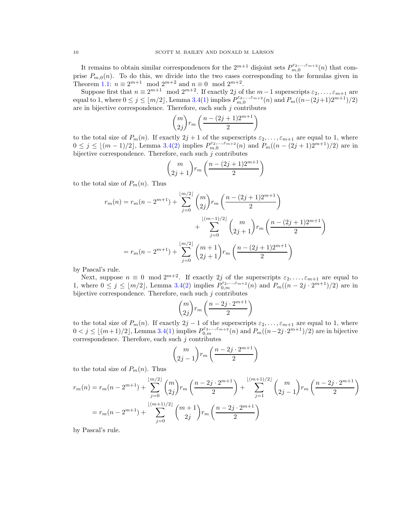It remains to obtain similar correspondences for the  $2^{m+1}$  disjoint sets  $P_{m,0}^{\varepsilon_2,\dots,\varepsilon_{m+2}}(n)$  that comprise  $P_{m,0}(n)$ . To do this, we divide into the two cases corresponding to the formulas given in Theorem [1.1:](#page-0-0)  $n \equiv 2^{m+1} \mod 2^{m+2}$  and  $n \equiv 0 \mod 2^{m+2}$ .

Suppose first that  $n \equiv 2^{m+1} \mod 2^{m+2}$ . If exactly 2j of the  $m-1$  superscripts  $\varepsilon_2, \ldots, \varepsilon_{m+1}$  are equal to 1, where  $0 \le j \le \lfloor m/2 \rfloor$ , Lemma [3.4\(](#page-8-4)[1\)](#page-8-1) implies  $P_{m,0}^{\varepsilon_2,...,\varepsilon_{m+2}}(n)$  and  $P_m((n-(2j+1)2^{m+1})/2)$ are in bijective correspondence. Therefore, each such  $j$  contributes

$$
\binom{m}{2j} r_m \left( \frac{n - (2j+1)2^{m+1}}{2} \right)
$$

to the total size of  $P_m(n)$ . If exactly  $2j + 1$  of the superscripts  $\varepsilon_2, \ldots, \varepsilon_{m+1}$  are equal to 1, where  $0 \le j \le \lfloor (m-1)/2 \rfloor$ , Lemma [3.4](#page-8-4)[\(2\)](#page-8-2) implies  $P_{m,0}^{\varepsilon_2,...,\varepsilon_{m+2}}(n)$  and  $P_m((n-(2j+1)2^{m+1})/2)$  are in bijective correspondence. Therefore, each such  $j$  contributes

$$
\binom{m}{2j+1}r_m\left(\frac{n-(2j+1)2^{m+1}}{2}\right)
$$

to the total size of  $P_m(n)$ . Thus

$$
r_m(n) = r_m(n - 2^{m+1}) + \sum_{j=0}^{\lfloor m/2 \rfloor} \binom{m}{2j} r_m \left( \frac{n - (2j+1)2^{m+1}}{2} \right)
$$
  
+ 
$$
\sum_{j=0}^{\lfloor (m-1)/2 \rfloor} \binom{m}{2j+1} r_m \left( \frac{n - (2j+1)2^{m+1}}{2} \right)
$$
  
= 
$$
r_m(n - 2^{m+1}) + \sum_{j=0}^{\lfloor m/2 \rfloor} \binom{m+1}{2j+1} r_m \left( \frac{n - (2j+1)2^{m+1}}{2} \right)
$$

by Pascal's rule.

Next, suppose  $n \equiv 0 \mod 2^{m+2}$ . If exactly 2j of the superscripts  $\varepsilon_2, \ldots, \varepsilon_{m+1}$  are equal to 1, where  $0 \leq j \leq \lfloor m/2 \rfloor$ , Lemma [3.4\(](#page-8-4)[2\)](#page-8-2) implies  $P_{0,m}^{\varepsilon_2,\ldots,\varepsilon_{m+2}}(n)$  and  $P_m((n-2j\cdot2^{m+1})/2)$  are in bijective correspondence. Therefore, each such  $j$  contributes

$$
\binom{m}{2j}r_m\left(\frac{n-2j\cdot 2^{m+1}}{2}\right)
$$

to the total size of  $P_m(n)$ . If exactly  $2j-1$  of the superscripts  $\varepsilon_2, \ldots, \varepsilon_{m+1}$  are equal to 1, where  $0 < j \leq \lfloor (m+1)/2 \rfloor$  $0 < j \leq \lfloor (m+1)/2 \rfloor$  $0 < j \leq \lfloor (m+1)/2 \rfloor$ , Lemma [3.4\(](#page-8-4)1) implies  $P_{0,m}^{\varepsilon_2,...,\varepsilon_{m+2}}(n)$  and  $P_m((n-2j \cdot 2^{m+1})/2)$  are in bijective correspondence. Therefore, each such  $j$  contributes

$$
\binom{m}{2j-1}r_m\left(\frac{n-2j\cdot 2^{m+1}}{2}\right)
$$

to the total size of  $P_m(n)$ . Thus

$$
r_m(n) = r_m(n - 2^{m+1}) + \sum_{j=0}^{\lfloor m/2 \rfloor} \binom{m}{2j} r_m \left( \frac{n - 2j \cdot 2^{m+1}}{2} \right) + \sum_{j=1}^{\lfloor (m+1)/2 \rfloor} \binom{m}{2j-1} r_m \left( \frac{n - 2j \cdot 2^{m+1}}{2} \right)
$$
  
= 
$$
r_m(n - 2^{m+1}) + \sum_{j=0}^{\lfloor (m+1)/2 \rfloor} \binom{m+1}{2j} r_m \left( \frac{n - 2j \cdot 2^{m+1}}{2} \right)
$$

by Pascal's rule.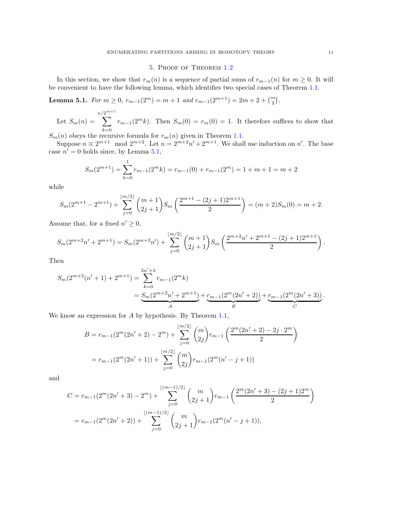# 5. Proof of Theorem [1.2](#page-1-1)

<span id="page-10-0"></span>In this section, we show that  $r_m(n)$  is a sequence of partial sums of  $r_{m-1}(n)$  for  $m \geq 0$ . It will be convenient to have the following lemma, which identifies two special cases of Theorem [1.1.](#page-0-0)

<span id="page-10-1"></span>Lemma 5.1. For  $m \ge 0$ ,  $r_{m-1}(2^m) = m + 1$  and  $r_{m-1}(2^{m+1}) = 2m + 2 + {m \choose 2}$ .

Let  $S_m(n) =$  $n/$  $\sum$  $2^{m+1}$  $_{k=0}$  $r_{m-1}(2^m k)$ . Then  $S_m(0) = r_m(0) = 1$ . It therefore suffices to show that

 $S_m(n)$  obeys the recursive formula for  $r_m(n)$  given in Theorem [1.1.](#page-0-0)

Suppose  $n \equiv 2^{m+1} \mod 2^{m+2}$ . Let  $n = 2^{m+2}n' + 2^{m+1}$ . We shall use induction on n'. The base case  $n' = 0$  holds since, by Lemma [5.1,](#page-10-1)

$$
S_m(2^{m+1}) = \sum_{k=0}^{1} r_{m-1}(2^m k) = r_{m-1}(0) + r_{m-1}(2^m) = 1 + m + 1 = m + 2
$$

while

$$
S_m(2^{m+1} - 2^{m+1}) + \sum_{j=0}^{\lfloor m/2 \rfloor} \binom{m+1}{2j+1} S_m\left(\frac{2^{m+1} - (2j+1)2^{m+1}}{2}\right) = (m+2)S_m(0) = m+2.
$$

Assume that, for a fixed  $n' \geq 0$ ,

$$
S_m(2^{m+2}n'+2^{m+1})=S_m(2^{m+2}n')+\sum_{j=0}^{\lfloor m/2\rfloor} \binom{m+1}{2j+1}S_m\left(\frac{2^{m+2}n'+2^{m+1}-(2j+1)2^{m+1}}{2}\right).
$$

Then

$$
S_m(2^{m+2}(n'+1)+2^{m+1}) = \sum_{k=0}^{2n'+3} r_{m-1}(2^m k)
$$
  
= 
$$
\underbrace{S_m(2^{m+2}n'+2^{m+1})}_{A} + \underbrace{r_{m-1}(2^m(2n'+2))}_{B} + \underbrace{r_{m-1}(2^m(2n'+3))}_{C}.
$$

We know an expression for A by hypothesis. By Theorem [1.1,](#page-0-0)

$$
B = r_{m-1}(2^m(2n'+2) - 2^m) + \sum_{j=0}^{\lfloor m/2 \rfloor} {m \choose 2j} r_{m-1} \left( \frac{2^m(2n'+2) - 2j \cdot 2^m}{2} \right)
$$
  
= 
$$
r_{m-1}(2^m(2n'+1)) + \sum_{j=0}^{\lfloor m/2 \rfloor} {m \choose 2j} r_{m-1}(2^m(n'-j+1))
$$

and

$$
C = r_{m-1}(2^{m}(2n'+3) - 2^{m}) + \sum_{j=0}^{\lfloor (m-1)/2 \rfloor} {m \choose 2j+1} r_{m-1} \left( \frac{2^{m}(2n'+3) - (2j+1)2^{m}}{2} \right)
$$
  
= 
$$
r_{m-1}(2^{m}(2n'+2)) + \sum_{j=0}^{\lfloor (m-1)/2 \rfloor} {m \choose 2j+1} r_{m-1}(2^{m}(n'-j+1)),
$$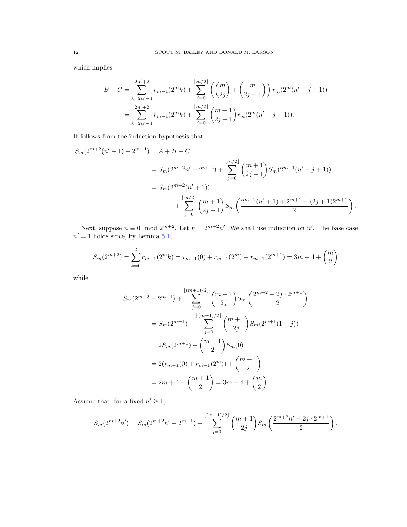which implies

$$
B + C = \sum_{k=2n'+1}^{2n'+2} r_{m-1}(2^m k) + \sum_{j=0}^{\lfloor m/2 \rfloor} \left( \binom{m}{2j} + \binom{m}{2j+1} \right) r_m(2^m (n'-j+1))
$$
  
= 
$$
\sum_{k=2n'+1}^{2n'+2} r_{m-1}(2^m k) + \sum_{j=0}^{\lfloor m/2 \rfloor} \binom{m+1}{2j+1} r_m(2^m (n'-j+1)).
$$

It follows from the induction hypothesis that

$$
S_m(2^{m+2}(n'+1)+2^{m+1}) = A + B + C
$$
  
=  $S_m(2^{m+2}n'+2^{m+2}) + \sum_{j=0}^{\lfloor m/2 \rfloor} {m+1 \choose 2j+1} S_m(2^{m+1}(n'-j+1))$   
=  $S_m(2^{m+2}(n'+1)) + \sum_{j=0}^{\lfloor m/2 \rfloor} {m+1 \choose 2j+1} S_m\left(\frac{2^{m+2}(n'+1)+2^{m+1}-(2j+1)2^{m+1}}{2}\right).$ 

Next, suppose  $n \equiv 0 \mod 2^{m+2}$ . Let  $n = 2^{m+2}n'$ . We shall use induction on n'. The base case  $n' = 1$  holds since, by Lemma [5.1,](#page-10-1)

$$
S_m(2^{m+2}) = \sum_{k=0}^{2} r_{m-1}(2^m k) = r_{m-1}(0) + r_{m-1}(2^m) + r_{m-1}(2^{m+1}) = 3m + 4 + \binom{m}{2}
$$

while

$$
S_m(2^{m+2} - 2^{m+1}) + \sum_{j=0}^{\lfloor (m+1)/2 \rfloor} {m+1 \choose 2j} S_m\left(\frac{2^{m+2} - 2j \cdot 2^{m+1}}{2}\right)
$$
  
=  $S_m(2^{m+1}) + \sum_{j=0}^{\lfloor (m+1)/2 \rfloor} {m+1 \choose 2j} S_m(2^{m+1}(1-j))$   
=  $2S_m(2^{m+1}) + {m+1 \choose 2} S_m(0)$   
=  $2(r_{m-1}(0) + r_{m-1}(2^m)) + {m+1 \choose 2}$   
=  $2m + 4 + {m+1 \choose 2} = 3m + 4 + {m \choose 2}.$ 

Assume that, for a fixed  $n' \geq 1$ ,

$$
S_m(2^{m+2}n') = S_m(2^{m+2}n' - 2^{m+1}) + \sum_{j=0}^{\lfloor (m+1)/2 \rfloor} {m+1 \choose 2j} S_m\left(\frac{2^{m+2}n' - 2j \cdot 2^{m+1}}{2}\right).
$$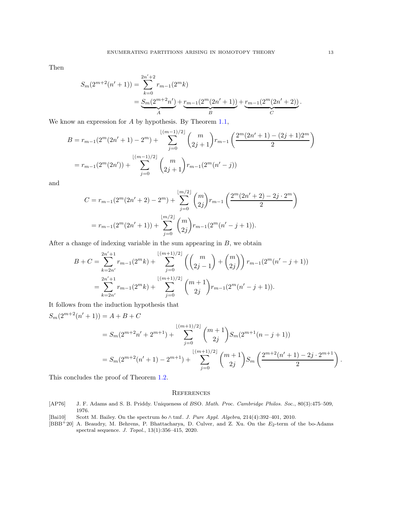Then

$$
S_m(2^{m+2}(n'+1)) = \sum_{k=0}^{2n'+2} r_{m-1}(2^m k)
$$
  
= 
$$
\underbrace{S_m(2^{m+2}n')}_{A} + \underbrace{r_{m-1}(2^m(2n'+1))}_{B} + \underbrace{r_{m-1}(2^m(2n'+2))}_{C}.
$$

We know an expression for A by hypothesis. By Theorem [1.1,](#page-0-0)

$$
B = r_{m-1}(2^{m}(2n'+1) - 2^{m}) + \sum_{j=0}^{\lfloor (m-1)/2 \rfloor} {m \choose 2j+1} r_{m-1} \left( \frac{2^{m}(2n'+1) - (2j+1)2^{m}}{2} \right)
$$
  
= 
$$
r_{m-1}(2^{m}(2n')) + \sum_{j=0}^{\lfloor (m-1)/2 \rfloor} {m \choose 2j+1} r_{m-1}(2^{m}(n'-j))
$$

and

$$
C = r_{m-1}(2^m(2n'+2) - 2^m) + \sum_{j=0}^{\lfloor m/2 \rfloor} \binom{m}{2j} r_{m-1} \left( \frac{2^m(2n'+2) - 2j \cdot 2^m}{2} \right)
$$
  
= 
$$
r_{m-1}(2^m(2n'+1)) + \sum_{j=0}^{\lfloor m/2 \rfloor} \binom{m}{2j} r_{m-1}(2^m(n'-j+1)).
$$

After a change of indexing variable in the sum appearing in  $B$ , we obtain

$$
B + C = \sum_{k=2n'}^{2n'+1} r_{m-1}(2^m k) + \sum_{j=0}^{\lfloor (m+1)/2 \rfloor} \left( \binom{m}{2j-1} + \binom{m}{2j} \right) r_{m-1}(2^m (n'-j+1))
$$
  
= 
$$
\sum_{k=2n'}^{2n'+1} r_{m-1}(2^m k) + \sum_{j=0}^{\lfloor (m+1)/2 \rfloor} \binom{m+1}{2j} r_{m-1}(2^m (n'-j+1)).
$$

It follows from the induction hypothesis that

$$
S_m(2^{m+2}(n'+1)) = A + B + C
$$
  
=  $S_m(2^{m+2}n' + 2^{m+1}) + \sum_{j=0}^{\lfloor (m+1)/2 \rfloor} {m+1 \choose 2j} S_m(2^{m+1}(n-j+1))$   
=  $S_m(2^{m+2}(n'+1) - 2^{m+1}) + \sum_{j=0}^{\lfloor (m+1)/2 \rfloor} {m+1 \choose 2j} S_m\left(\frac{2^{m+2}(n'+1) - 2j \cdot 2^{m+1}}{2}\right).$ 

This concludes the proof of Theorem [1.2.](#page-1-1)

### **REFERENCES**

- <span id="page-12-0"></span>[AP76] J. F. Adams and S. B. Priddy. Uniqueness of BSO. Math. Proc. Cambridge Philos. Soc., 80(3):475–509, 1976.
- <span id="page-12-2"></span>[Bai10] Scott M. Bailey. On the spectrum bo ∧ tmf. J. Pure Appl. Algebra, 214(4):392–401, 2010.
- <span id="page-12-1"></span>[BBB+20] A. Beaudry, M. Behrens, P. Bhattacharya, D. Culver, and Z. Xu. On the E2-term of the bo-Adams spectral sequence. J. Topol., 13(1):356–415, 2020.